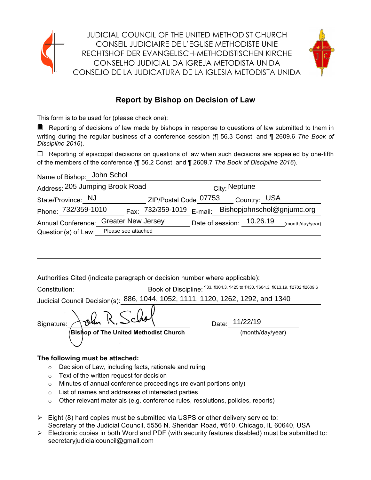



# **Report by Bishop on Decision of Law**

This form is to be used for (please check one):

■ Reporting of decisions of law made by bishops in response to questions of law submitted to them in writing during the regular business of a conference session (¶ 56.3 Const. and ¶ 2609.6 *The Book of Discipline 2016*).

 $\Box$  Reporting of episcopal decisions on questions of law when such decisions are appealed by one-fifth of the members of the conference (¶ 56.2 Const. and ¶ 2609.7 *The Book of Discipline 2016*).

Name of Bishop: John Schol

| Address: 205 Jumping Brook Road |                           |                                                      | <sub>City:</sub> Neptune |  |                           |                  |
|---------------------------------|---------------------------|------------------------------------------------------|--------------------------|--|---------------------------|------------------|
| State/Province: NJ              |                           | ZIP/Postal Code 07753                                |                          |  | Country: USA              |                  |
| Phone: 732/359-1010             |                           | Fax: 732/359-1019 E-mail: Bishopjohnschol@gnjumc.org |                          |  |                           |                  |
| <b>Annual Conference:</b>       | <b>Greater New Jersey</b> |                                                      |                          |  | Date of session: 10.26.19 | (month/day/year) |
| Question(s) of Law:             | Please see attached       |                                                      |                          |  |                           |                  |

| Authorities Cited (indicate paragraph or decision number where applicable): |  |  |  |  |  |  |  |  |
|-----------------------------------------------------------------------------|--|--|--|--|--|--|--|--|
|-----------------------------------------------------------------------------|--|--|--|--|--|--|--|--|

| Constitution: | Book of Discipline: 133, 1304.3, 1425 to 1430, 1604.3, 1613.19, 12702 12609. |
|---------------|------------------------------------------------------------------------------|
|               |                                                                              |

Judicial Council Decision(s): 886, 1044, 1052, 1111, 1120, 1262, 1292, and 1340<br>Signature: Article R. Schol Signature:  $\sqrt{\alpha}$ lm II,  $\sqrt{\alpha}$ <br>Date: 11/22/19 **Bishop of The United Methodist Church**  (month/day/year)

### **The following must be attached:**

- o Decision of Law, including facts, rationale and ruling
- o Text of the written request for decision
- o Minutes of annual conference proceedings (relevant portions only)
- o List of names and addresses of interested parties
- $\circ$  Other relevant materials (e.g. conference rules, resolutions, policies, reports)
- $\triangleright$  Eight (8) hard copies must be submitted via USPS or other delivery service to: Secretary of the Judicial Council, 5556 N. Sheridan Road, #610, Chicago, IL 60640, USA
- $\triangleright$  Electronic copies in both Word and PDF (with security features disabled) must be submitted to: secretaryjudicialcouncil@gmail.com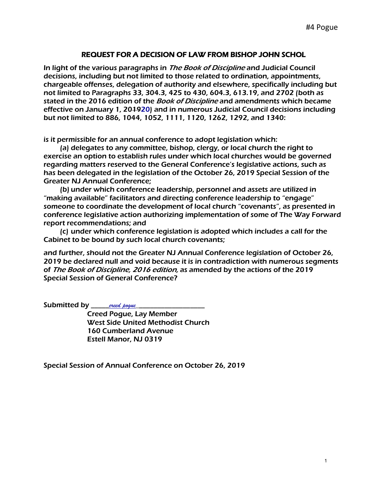# REQUEST FOR A DECISION OF LAW FROM BISHOP JOHN SCHOL

In light of the various paragraphs in *The Book of Discipline* and Judicial Council decisions, including but not limited to those related to ordination, appointments, chargeable offenses, delegation of authority and elsewhere, specifically including but not limited to Paragraphs 33, 304.3, 425 to 430, 604.3, 613.19, and 2702 (both as stated in the 2016 edition of the *Book of Discipline* and amendments which became effective on January 1, 20<del>19</del>20) and in numerous Judicial Council decisions including but not limited to 886, 1044, 1052, 1111, 1120, 1262, 1292, and 1340:

is it permissible for an annual conference to adopt legislation which:

(a) delegates to any committee, bishop, clergy, or local church the right to exercise an option to establish rules under which local churches would be governed regarding matters reserved to the General Conference's legislative actions, such as has been delegated in the legislation of the October 26, 2019 Special Session of the Greater NJ Annual Conference;

(b) under which conference leadership, personnel and assets are utilized in "making available" facilitators and directing conference leadership to "engage" someone to coordinate the development of local church "covenants", as presented in conference legislative action authorizing implementation of some of The Way Forward report recommendations; and

(c) under which conference legislation is adopted which includes a call for the Cabinet to be bound by such local church covenants;

and further, should not the Greater NJ Annual Conference legislation of October 26, 2019 be declared null and void because it is in contradiction with numerous segments of The Book of Discipline, 2016 edition, as amended by the actions of the 2019 Special Session of General Conference?

Submitted by *\_\_\_\_\_\_\_\_creed poque\_\_\_* 

Creed Pogue, Lay Member West Side United Methodist Church 160 Cumberland Avenue Estell Manor, NJ 0319

Special Session of Annual Conference on October 26, 2019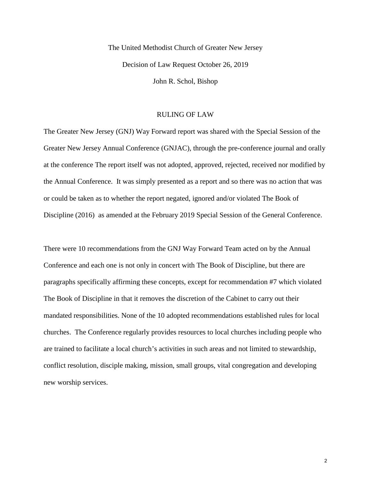The United Methodist Church of Greater New Jersey Decision of Law Request October 26, 2019 John R. Schol, Bishop

#### RULING OF LAW

The Greater New Jersey (GNJ) Way Forward report was shared with the Special Session of the Greater New Jersey Annual Conference (GNJAC), through the pre-conference journal and orally at the conference The report itself was not adopted, approved, rejected, received nor modified by the Annual Conference. It was simply presented as a report and so there was no action that was or could be taken as to whether the report negated, ignored and/or violated The Book of Discipline (2016) as amended at the February 2019 Special Session of the General Conference.

There were 10 recommendations from the GNJ Way Forward Team acted on by the Annual Conference and each one is not only in concert with The Book of Discipline, but there are paragraphs specifically affirming these concepts, except for recommendation #7 which violated The Book of Discipline in that it removes the discretion of the Cabinet to carry out their mandated responsibilities. None of the 10 adopted recommendations established rules for local churches. The Conference regularly provides resources to local churches including people who are trained to facilitate a local church's activities in such areas and not limited to stewardship, conflict resolution, disciple making, mission, small groups, vital congregation and developing new worship services.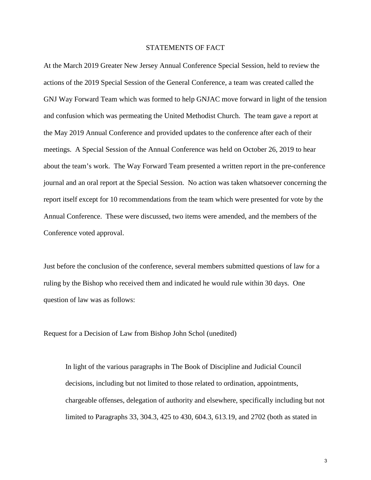#### STATEMENTS OF FACT

At the March 2019 Greater New Jersey Annual Conference Special Session, held to review the actions of the 2019 Special Session of the General Conference, a team was created called the GNJ Way Forward Team which was formed to help GNJAC move forward in light of the tension and confusion which was permeating the United Methodist Church. The team gave a report at the May 2019 Annual Conference and provided updates to the conference after each of their meetings. A Special Session of the Annual Conference was held on October 26, 2019 to hear about the team's work. The Way Forward Team presented a written report in the pre-conference journal and an oral report at the Special Session. No action was taken whatsoever concerning the report itself except for 10 recommendations from the team which were presented for vote by the Annual Conference. These were discussed, two items were amended, and the members of the Conference voted approval.

Just before the conclusion of the conference, several members submitted questions of law for a ruling by the Bishop who received them and indicated he would rule within 30 days. One question of law was as follows:

Request for a Decision of Law from Bishop John Schol (unedited)

In light of the various paragraphs in The Book of Discipline and Judicial Council decisions, including but not limited to those related to ordination, appointments, chargeable offenses, delegation of authority and elsewhere, specifically including but not limited to Paragraphs 33, 304.3, 425 to 430, 604.3, 613.19, and 2702 (both as stated in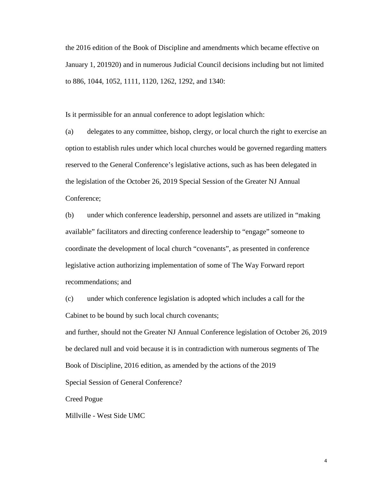the 2016 edition of the Book of Discipline and amendments which became effective on January 1, 201920) and in numerous Judicial Council decisions including but not limited to 886, 1044, 1052, 1111, 1120, 1262, 1292, and 1340:

Is it permissible for an annual conference to adopt legislation which:

(a) delegates to any committee, bishop, clergy, or local church the right to exercise an option to establish rules under which local churches would be governed regarding matters reserved to the General Conference's legislative actions, such as has been delegated in the legislation of the October 26, 2019 Special Session of the Greater NJ Annual Conference;

(b) under which conference leadership, personnel and assets are utilized in "making available" facilitators and directing conference leadership to "engage" someone to coordinate the development of local church "covenants", as presented in conference legislative action authorizing implementation of some of The Way Forward report recommendations; and

(c) under which conference legislation is adopted which includes a call for the Cabinet to be bound by such local church covenants;

and further, should not the Greater NJ Annual Conference legislation of October 26, 2019 be declared null and void because it is in contradiction with numerous segments of The Book of Discipline, 2016 edition, as amended by the actions of the 2019

Special Session of General Conference?

Creed Pogue

Millville - West Side UMC

4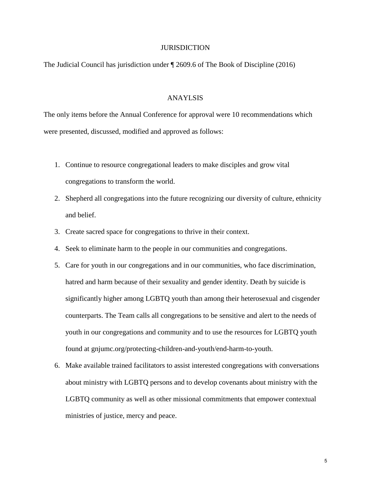#### **JURISDICTION**

The Judicial Council has jurisdiction under ¶ 2609.6 of The Book of Discipline (2016)

#### ANAYLSIS

The only items before the Annual Conference for approval were 10 recommendations which were presented, discussed, modified and approved as follows:

- 1. Continue to resource congregational leaders to make disciples and grow vital congregations to transform the world.
- 2. Shepherd all congregations into the future recognizing our diversity of culture, ethnicity and belief.
- 3. Create sacred space for congregations to thrive in their context.
- 4. Seek to eliminate harm to the people in our communities and congregations.
- 5. Care for youth in our congregations and in our communities, who face discrimination, hatred and harm because of their sexuality and gender identity. Death by suicide is significantly higher among LGBTQ youth than among their heterosexual and cisgender counterparts. The Team calls all congregations to be sensitive and alert to the needs of youth in our congregations and community and to use the resources for LGBTQ youth found at gnjumc.org/protecting-children-and-youth/end-harm-to-youth.
- 6. Make available trained facilitators to assist interested congregations with conversations about ministry with LGBTQ persons and to develop covenants about ministry with the LGBTQ community as well as other missional commitments that empower contextual ministries of justice, mercy and peace.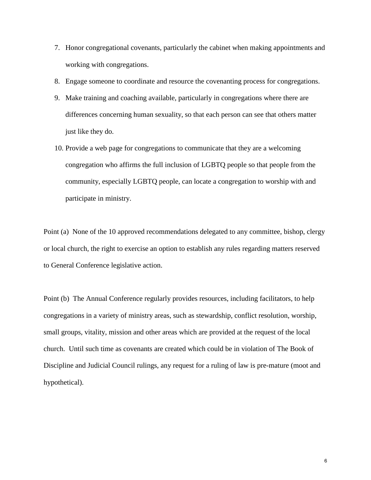- 7. Honor congregational covenants, particularly the cabinet when making appointments and working with congregations.
- 8. Engage someone to coordinate and resource the covenanting process for congregations.
- 9. Make training and coaching available, particularly in congregations where there are differences concerning human sexuality, so that each person can see that others matter just like they do.
- 10. Provide a web page for congregations to communicate that they are a welcoming congregation who affirms the full inclusion of LGBTQ people so that people from the community, especially LGBTQ people, can locate a congregation to worship with and participate in ministry.

Point (a) None of the 10 approved recommendations delegated to any committee, bishop, clergy or local church, the right to exercise an option to establish any rules regarding matters reserved to General Conference legislative action.

Point (b) The Annual Conference regularly provides resources, including facilitators, to help congregations in a variety of ministry areas, such as stewardship, conflict resolution, worship, small groups, vitality, mission and other areas which are provided at the request of the local church. Until such time as covenants are created which could be in violation of The Book of Discipline and Judicial Council rulings, any request for a ruling of law is pre-mature (moot and hypothetical).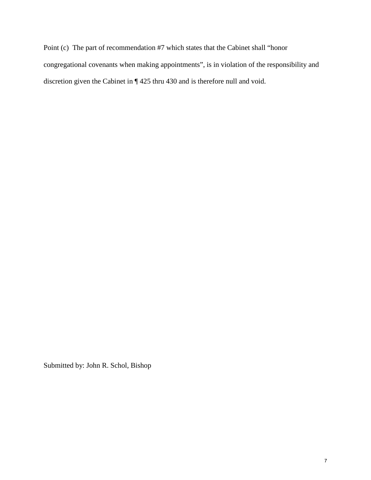Point (c) The part of recommendation #7 which states that the Cabinet shall "honor congregational covenants when making appointments", is in violation of the responsibility and discretion given the Cabinet in ¶ 425 thru 430 and is therefore null and void.

Submitted by: John R. Schol, Bishop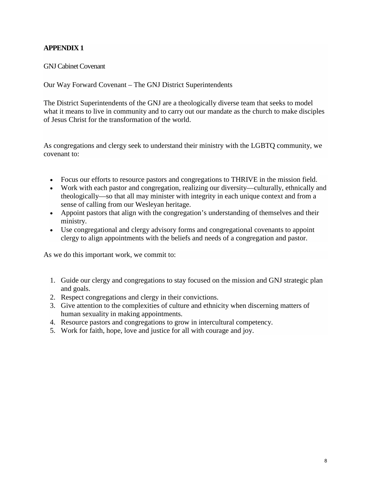# **APPENDIX 1**

GNJ Cabinet Covenant

Our Way Forward Covenant – The GNJ District Superintendents

The District Superintendents of the GNJ are a theologically diverse team that seeks to model what it means to live in community and to carry out our mandate as the church to make disciples of Jesus Christ for the transformation of the world.

As congregations and clergy seek to understand their ministry with the LGBTQ community, we covenant to:

- Focus our efforts to resource pastors and congregations to THRIVE in the mission field.
- Work with each pastor and congregation, realizing our diversity—culturally, ethnically and theologically—so that all may minister with integrity in each unique context and from a sense of calling from our Wesleyan heritage.
- Appoint pastors that align with the congregation's understanding of themselves and their ministry.
- Use congregational and clergy advisory forms and congregational covenants to appoint clergy to align appointments with the beliefs and needs of a congregation and pastor.

As we do this important work, we commit to:

- 1. Guide our clergy and congregations to stay focused on the mission and GNJ strategic plan and goals.
- 2. Respect congregations and clergy in their convictions.
- 3. Give attention to the complexities of culture and ethnicity when discerning matters of human sexuality in making appointments.
- 4. Resource pastors and congregations to grow in intercultural competency.
- 5. Work for faith, hope, love and justice for all with courage and joy.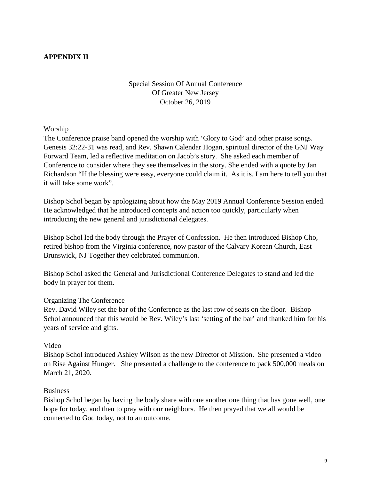# **APPENDIX II**

# Special Session Of Annual Conference Of Greater New Jersey October 26, 2019

Worship

The Conference praise band opened the worship with 'Glory to God' and other praise songs. Genesis 32:22-31 was read, and Rev. Shawn Calendar Hogan, spiritual director of the GNJ Way Forward Team, led a reflective meditation on Jacob's story. She asked each member of Conference to consider where they see themselves in the story. She ended with a quote by Jan Richardson "If the blessing were easy, everyone could claim it. As it is, I am here to tell you that it will take some work".

Bishop Schol began by apologizing about how the May 2019 Annual Conference Session ended. He acknowledged that he introduced concepts and action too quickly, particularly when introducing the new general and jurisdictional delegates.

Bishop Schol led the body through the Prayer of Confession. He then introduced Bishop Cho, retired bishop from the Virginia conference, now pastor of the Calvary Korean Church, East Brunswick, NJ Together they celebrated communion.

Bishop Schol asked the General and Jurisdictional Conference Delegates to stand and led the body in prayer for them.

#### Organizing The Conference

Rev. David Wiley set the bar of the Conference as the last row of seats on the floor. Bishop Schol announced that this would be Rev. Wiley's last 'setting of the bar' and thanked him for his years of service and gifts.

#### Video

Bishop Schol introduced Ashley Wilson as the new Director of Mission. She presented a video on Rise Against Hunger. She presented a challenge to the conference to pack 500,000 meals on March 21, 2020.

#### Business

Bishop Schol began by having the body share with one another one thing that has gone well, one hope for today, and then to pray with our neighbors. He then prayed that we all would be connected to God today, not to an outcome.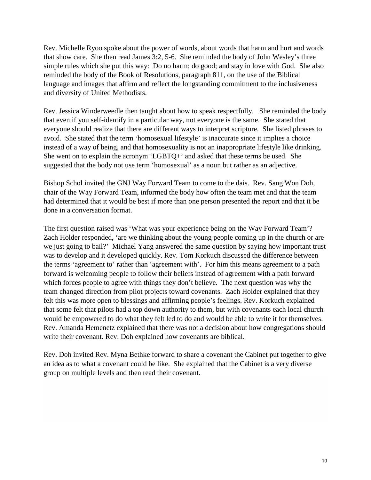Rev. Michelle Ryoo spoke about the power of words, about words that harm and hurt and words that show care. She then read James 3:2, 5-6. She reminded the body of John Wesley's three simple rules which she put this way: Do no harm; do good; and stay in love with God. She also reminded the body of the Book of Resolutions, paragraph 811, on the use of the Biblical language and images that affirm and reflect the longstanding commitment to the inclusiveness and diversity of United Methodists.

Rev. Jessica Winderweedle then taught about how to speak respectfully. She reminded the body that even if you self-identify in a particular way, not everyone is the same. She stated that everyone should realize that there are different ways to interpret scripture. She listed phrases to avoid. She stated that the term 'homosexual lifestyle' is inaccurate since it implies a choice instead of a way of being, and that homosexuality is not an inappropriate lifestyle like drinking. She went on to explain the acronym 'LGBTQ+' and asked that these terms be used. She suggested that the body not use term 'homosexual' as a noun but rather as an adjective.

Bishop Schol invited the GNJ Way Forward Team to come to the dais. Rev. Sang Won Doh, chair of the Way Forward Team, informed the body how often the team met and that the team had determined that it would be best if more than one person presented the report and that it be done in a conversation format.

The first question raised was 'What was your experience being on the Way Forward Team'? Zach Holder responded, 'are we thinking about the young people coming up in the church or are we just going to bail?' Michael Yang answered the same question by saying how important trust was to develop and it developed quickly. Rev. Tom Korkuch discussed the difference between the terms 'agreement to' rather than 'agreement with'. For him this means agreement to a path forward is welcoming people to follow their beliefs instead of agreement with a path forward which forces people to agree with things they don't believe. The next question was why the team changed direction from pilot projects toward covenants. Zach Holder explained that they felt this was more open to blessings and affirming people's feelings. Rev. Korkuch explained that some felt that pilots had a top down authority to them, but with covenants each local church would be empowered to do what they felt led to do and would be able to write it for themselves. Rev. Amanda Hemenetz explained that there was not a decision about how congregations should write their covenant. Rev. Doh explained how covenants are biblical.

Rev. Doh invited Rev. Myna Bethke forward to share a covenant the Cabinet put together to give an idea as to what a covenant could be like. She explained that the Cabinet is a very diverse group on multiple levels and then read their covenant.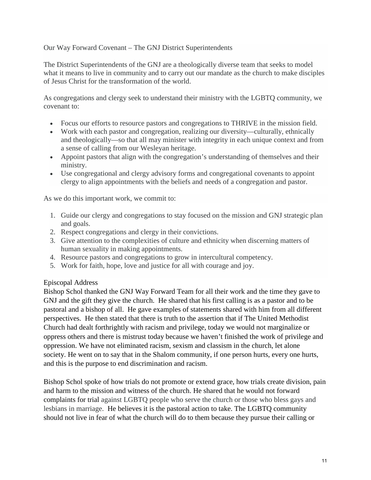### Our Way Forward Covenant – The GNJ District Superintendents

The District Superintendents of the GNJ are a theologically diverse team that seeks to model what it means to live in community and to carry out our mandate as the church to make disciples of Jesus Christ for the transformation of the world.

As congregations and clergy seek to understand their ministry with the LGBTQ community, we covenant to:

- Focus our efforts to resource pastors and congregations to THRIVE in the mission field.
- Work with each pastor and congregation, realizing our diversity—culturally, ethnically and theologically—so that all may minister with integrity in each unique context and from a sense of calling from our Wesleyan heritage.
- Appoint pastors that align with the congregation's understanding of themselves and their ministry.
- Use congregational and clergy advisory forms and congregational covenants to appoint clergy to align appointments with the beliefs and needs of a congregation and pastor.

As we do this important work, we commit to:

- 1. Guide our clergy and congregations to stay focused on the mission and GNJ strategic plan and goals.
- 2. Respect congregations and clergy in their convictions.
- 3. Give attention to the complexities of culture and ethnicity when discerning matters of human sexuality in making appointments.
- 4. Resource pastors and congregations to grow in intercultural competency.
- 5. Work for faith, hope, love and justice for all with courage and joy.

### Episcopal Address

Bishop Schol thanked the GNJ Way Forward Team for all their work and the time they gave to GNJ and the gift they give the church. He shared that his first calling is as a pastor and to be pastoral and a bishop of all. He gave examples of statements shared with him from all different perspectives. He then stated that there is truth to the assertion that if The United Methodist Church had dealt forthrightly with racism and privilege, today we would not marginalize or oppress others and there is mistrust today because we haven't finished the work of privilege and oppression. We have not eliminated racism, sexism and classism in the church, let alone society. He went on to say that in the Shalom community, if one person hurts, every one hurts, and this is the purpose to end discrimination and racism.

Bishop Schol spoke of how trials do not promote or extend grace, how trials create division, pain and harm to the mission and witness of the church. He shared that he would not forward complaints for trial against LGBTQ people who serve the church or those who bless gays and lesbians in marriage. He believes it is the pastoral action to take. The LGBTQ community should not live in fear of what the church will do to them because they pursue their calling or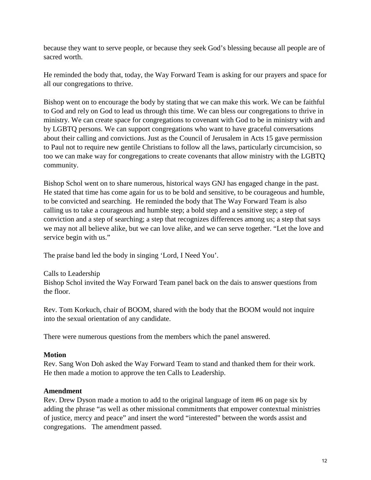because they want to serve people, or because they seek God's blessing because all people are of sacred worth.

He reminded the body that, today, the Way Forward Team is asking for our prayers and space for all our congregations to thrive.

Bishop went on to encourage the body by stating that we can make this work. We can be faithful to God and rely on God to lead us through this time. We can bless our congregations to thrive in ministry. We can create space for congregations to covenant with God to be in ministry with and by LGBTQ persons. We can support congregations who want to have graceful conversations about their calling and convictions. Just as the Council of Jerusalem in Acts 15 gave permission to Paul not to require new gentile Christians to follow all the laws, particularly circumcision, so too we can make way for congregations to create covenants that allow ministry with the LGBTQ community.

Bishop Schol went on to share numerous, historical ways GNJ has engaged change in the past. He stated that time has come again for us to be bold and sensitive, to be courageous and humble, to be convicted and searching. He reminded the body that The Way Forward Team is also calling us to take a courageous and humble step; a bold step and a sensitive step; a step of conviction and a step of searching; a step that recognizes differences among us; a step that says we may not all believe alike, but we can love alike, and we can serve together. "Let the love and service begin with us."

The praise band led the body in singing 'Lord, I Need You'.

Calls to Leadership

Bishop Schol invited the Way Forward Team panel back on the dais to answer questions from the floor.

Rev. Tom Korkuch, chair of BOOM, shared with the body that the BOOM would not inquire into the sexual orientation of any candidate.

There were numerous questions from the members which the panel answered.

### **Motion**

Rev. Sang Won Doh asked the Way Forward Team to stand and thanked them for their work. He then made a motion to approve the ten Calls to Leadership.

### **Amendment**

Rev. Drew Dyson made a motion to add to the original language of item #6 on page six by adding the phrase "as well as other missional commitments that empower contextual ministries of justice, mercy and peace" and insert the word "interested" between the words assist and congregations. The amendment passed.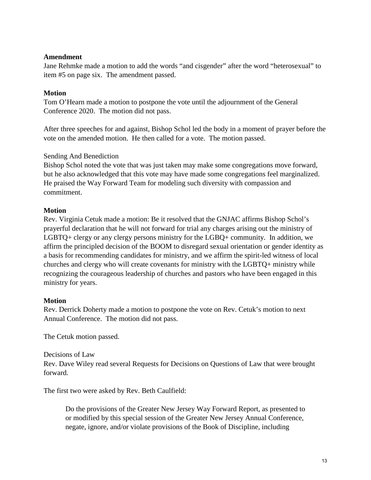#### **Amendment**

Jane Rehmke made a motion to add the words "and cisgender" after the word "heterosexual" to item #5 on page six. The amendment passed.

# **Motion**

Tom O'Hearn made a motion to postpone the vote until the adjournment of the General Conference 2020. The motion did not pass.

After three speeches for and against, Bishop Schol led the body in a moment of prayer before the vote on the amended motion. He then called for a vote. The motion passed.

# Sending And Benediction

Bishop Schol noted the vote that was just taken may make some congregations move forward, but he also acknowledged that this vote may have made some congregations feel marginalized. He praised the Way Forward Team for modeling such diversity with compassion and commitment.

### **Motion**

Rev. Virginia Cetuk made a motion: Be it resolved that the GNJAC affirms Bishop Schol's prayerful declaration that he will not forward for trial any charges arising out the ministry of LGBTQ+ clergy or any clergy persons ministry for the LGBQ+ community. In addition, we affirm the principled decision of the BOOM to disregard sexual orientation or gender identity as a basis for recommending candidates for ministry, and we affirm the spirit-led witness of local churches and clergy who will create covenants for ministry with the LGBTQ+ ministry while recognizing the courageous leadership of churches and pastors who have been engaged in this ministry for years.

### **Motion**

Rev. Derrick Doherty made a motion to postpone the vote on Rev. Cetuk's motion to next Annual Conference. The motion did not pass.

The Cetuk motion passed.

### Decisions of Law

Rev. Dave Wiley read several Requests for Decisions on Questions of Law that were brought forward.

The first two were asked by Rev. Beth Caulfield:

Do the provisions of the Greater New Jersey Way Forward Report, as presented to or modified by this special session of the Greater New Jersey Annual Conference, negate, ignore, and/or violate provisions of the Book of Discipline, including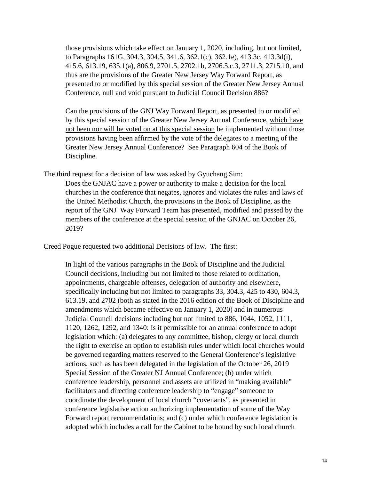those provisions which take effect on January 1, 2020, including, but not limited, to Paragraphs 161G, 304.3, 304.5, 341.6, 362.1(c), 362.1e), 413.3c, 413.3d(i), 415.6, 613.19, 635.1(a), 806.9, 2701.5, 2702.1b, 2706.5.c.3, 2711.3, 2715.10, and thus are the provisions of the Greater New Jersey Way Forward Report, as presented to or modified by this special session of the Greater New Jersey Annual Conference, null and void pursuant to Judicial Council Decision 886?

Can the provisions of the GNJ Way Forward Report, as presented to or modified by this special session of the Greater New Jersey Annual Conference, which have not been nor will be voted on at this special session be implemented without those provisions having been affirmed by the vote of the delegates to a meeting of the Greater New Jersey Annual Conference? See Paragraph 604 of the Book of Discipline.

The third request for a decision of law was asked by Gyuchang Sim:

Does the GNJAC have a power or authority to make a decision for the local churches in the conference that negates, ignores and violates the rules and laws of the United Methodist Church, the provisions in the Book of Discipline, as the report of the GNJ Way Forward Team has presented, modified and passed by the members of the conference at the special session of the GNJAC on October 26, 2019?

Creed Pogue requested two additional Decisions of law. The first:

In light of the various paragraphs in the Book of Discipline and the Judicial Council decisions, including but not limited to those related to ordination, appointments, chargeable offenses, delegation of authority and elsewhere, specifically including but not limited to paragraphs 33, 304.3, 425 to 430, 604.3, 613.19, and 2702 (both as stated in the 2016 edition of the Book of Discipline and amendments which became effective on January 1, 2020) and in numerous Judicial Council decisions including but not limited to 886, 1044, 1052, 1111, 1120, 1262, 1292, and 1340: Is it permissible for an annual conference to adopt legislation which: (a) delegates to any committee, bishop, clergy or local church the right to exercise an option to establish rules under which local churches would be governed regarding matters reserved to the General Conference's legislative actions, such as has been delegated in the legislation of the October 26, 2019 Special Session of the Greater NJ Annual Conference; (b) under which conference leadership, personnel and assets are utilized in "making available" facilitators and directing conference leadership to "engage" someone to coordinate the development of local church "covenants", as presented in conference legislative action authorizing implementation of some of the Way Forward report recommendations; and (c) under which conference legislation is adopted which includes a call for the Cabinet to be bound by such local church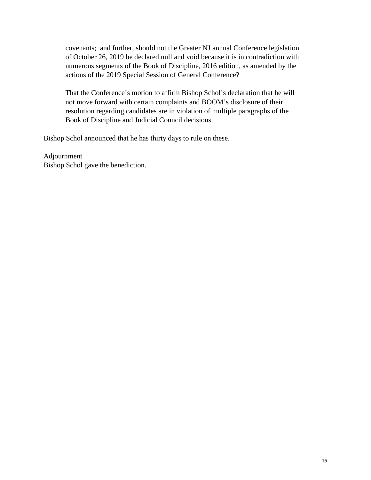covenants; and further, should not the Greater NJ annual Conference legislation of October 26, 2019 be declared null and void because it is in contradiction with numerous segments of the Book of Discipline, 2016 edition, as amended by the actions of the 2019 Special Session of General Conference?

That the Conference's motion to affirm Bishop Schol's declaration that he will not move forward with certain complaints and BOOM's disclosure of their resolution regarding candidates are in violation of multiple paragraphs of the Book of Discipline and Judicial Council decisions.

Bishop Schol announced that he has thirty days to rule on these.

Adjournment Bishop Schol gave the benediction.